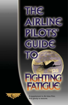# AIRLINE PILOTS' GUIDE T **FIGHTING FATIGUE**

 $m_{H}$ 



A supplement to Air Line Pilot. Pull gently to remove.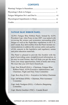# **CONTENTS**

### FATIGUE BLUE RIBBON PANEL

ALPA's Fatigue Blue Ribbon Panel, formed by ALPA President Capt. John Prater in late 2007, was tasked with reviewing the science and economics surrounding pilot fatigue as well as the flight/duty regulations in the U.S. and Canada. Key deliverables from the Panel include recommendations to address this serious safety and qualityof-life concern in the legislative and regulatory arenas and pilot education materials.

The Panel is pleased to provide this booklet with the goal of providing some straightforward information, in an easy-to-read format, that will help you get the most from your sleep opportunities, both at home and away. We trust that you will find it beneficial.

Capt. Don Wykoff (DAL)—Chairman, Fatigue Blue Ribbon Panel; ALPA Executive Administrator; and Chairman, Flight and Duty Time Committee

Capt. Rory Kay (UAL)—Executive Air Safety Chairman

Capt. Jeff Kilmer (FDX)—Chairman, Pilot Assistance **Committee** 

Capt. Andy Nordgren (EGL)—Collective Bargaining Committee

Capt. Martin Gauthier (TSC)—Canada Board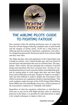# **TIGHE**

# THE AIRLINE PILOTS' GUIDE TO FIGHTING FATIGUE

One constant within the piloting profession since its origin has been the toll that fatigue-inducing schedules take on pilot health and the margins of airline safety. ALPA has a long history of lobbying and advocating for legislation, regulations, and collective bargaining agreements that protect pilots from onerous flight and duty time rules.

The flight and duty rules and regulations in the United States and Canada are archaic, were written decades ago, and were based on aircraft types and operations that were in existence then. The regulations, when written, did not anticipate the evolution of aircraft design and operations that have occurred since. Erosion of contractual protections in recent years has further exacerbated the problem by causing pilots to work longer duty days and more flight hours each month than in the past. Progress to improve on today's rules has been difficult to achieve despite the Association's best efforts to promote new regulations aimed at reducing fatigue. That work continues under the aegis of the ALPA Fatigue Blue Ribbon Panel (BRP) and will undoubtedly always be a critical element of the Association's endeavors to "Schedule with Safety."

Regardless of what the regulatory authorities or individual airlines may or may not do with flight and duty rules or scheduling practices in the future, it is possible for individual pilots to apply a few simple techniques to improve their rest.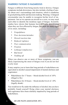# WARNINGI FATIGUE IS HAZARDOUS

Fatigue is different from being merely tired or drowsy. Fatigue symptoms include drowsiness, but also include a feeling of *apathy* about one's surroundings and situation, which is anathema to good piloting skills and decision making. Warning: A fatigued crewmember may be unable to recognize his/her level of impairment. Just as we operate an aircraft as a crew, we may need each other to identify the insidious signs of fatigue. Scientific studies have shown that humans have difficulty determining when they are first affected by fatigue, but there are many signs of its onset, including:

- *• Forgetfulness*
- *• Poor decisions/mistakes*
- *• Slowed reaction time*
- *• Reduced vigilance*
- *• Poor communication*
- *• Fixation*
- *• Lethargy/complacency*
- *• Bad mood*
- *• Nodding off*

When you observe one or more of these symptoms, you are likely experiencing the onset of fatigue even if you do not feel overly tired.

It may surprise you to learn that long periods of wakefulness are equivalent to alcohol-caused impairment of mental alertness and cognizance:

- Wakefulness for 17 hours  $\sim$  blood-alcohol level of .05% (illegal to fly)
- Wakefulness for 24 hours  $\sim$  blood-alcohol level of  $10\%$ (legally drunk)

You would never fly under the influence of alcohol, but you have probably found yourself flying when your mental alertness and cognizance have been similarly impaired by long periods of wakefulness.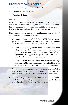# Physiology's Role in Fatigue

Two major physiological factors affect fatigue:

- Amount and quality of sleep
- Circadian rhythms

# **SLEEP**

Most adults require seven to nine hours of actual sleep each night for optimal performance, safety, and health. Sleep loss is cumulative; losing one hour of sleep each night for a week is equivalent to losing one night of sleep in that same period.

Sleep has two distinct phases: non-rapid eye movement (NREM) and rapid eye movement (REM) sleep.

- Sleep occurs in cycles of NREM and REM phases with approximately 60 minutes of NREM followed by 30 minutes of REM. The cycle repeats during a typical sleep event.
	- NREM—Physiological and mental activities slow. Four stages occur, with deepest sleep coming in stages 3 and 4. If awakened during deep sleep, sleep "inertia" with symptoms of grogginess, sleepiness, and disorientation may be felt for as long as 30 minutes.
	- REM—Dream sleep associated with bursts of rapid eye movements. Most REM sleep occurs in the final four hours of sleep cycle and is necessary for mental refreshment.
- The amount and structure of sleep changes over one's life span. With increasing age, sleep may become shallower and more disrupted, and the total amount of sleep decreases.
- Long-haul flight crewmembers aged 50 to 60 have demonstrated a daily percentage sleep loss 3.5 times greater during trip schedules than those aged 20 to 30 years.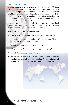#### Circadian Rhythms

Humans have an internal, circadian (i.e., "around a day") clock for sleep/wakefulness, performance, temperature, digestion, hormones, etc. Specific environmental time cues, which include bright sunlight and work/rest schedules, synchronize the body to a 24-hour day. The circadian clock cannot adapt immediately to a new environmental time or to a duty/rest schedule change; it may take days or weeks for all rhythms to synchronize to a new time zone after one trans-meridian flight. As a result, long-haul flight crews seldom become fully synchronized to local time during layovers, and their rest may be affected.

More facts about trans-meridian travel:

- The more time zones crossed, the longer it takes to adapt.
- Adaptation occurs more quickly after a westward flight or with progressively later duty times.
- Different people adapt at different rates.
- "Evening types" adapt faster than "morning types."
- Ability to adapt decreases with age.
- Jet lag may cause disturbed sleep, increased sleepiness while awake, decreased physical or mental performance, increased fatigue, negative mood, and gastrointestinal problems.

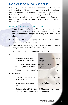# Fatigue Mitigation Do's and Don'ts

Following are some recommendations for getting better rest, both at home and away. Sleep patterns may change with age and/or as one's personal health or other circumstances change. What may help one pilot sleep better may not help another at all. Accordingly, you may wish to experiment with some or all of the tips in this booklet to see by trial and error what works for you and what doesn't.

# General Tips for Improved Sleep

- If unable to sleep after 15 to 20 minutes in bed, get up and engage in a relaxing activity (e.g., listening to music, reading). Return to bed when you feel sleepy; avoid watching the clock.
- Use an eye mask and earplugs or "white noise" to reduce visual and audible disruptions.
- Take a hot bath or shower just before bedtime; the body exerts energy to cool itself, which increases fatigue.
- Use relaxing imagery or thoughts to induce sleep.
- $\bullet$  Food:
	- Do not eat a large meal or consume lots of liquids before bedtime; eat a small snack if hungry.
	- Sleepiness may be induced through foods such as dairy products, bananas, turkey, and granola.
	- Proteins increase energy levels and may inhibit sleep.
- Caffeine:
	- Caffeine is a stimulant and can be used tactically to increase alertness.
	- Avoid using products containing caffeine when already alert.
	- Caffeine takes effect within 15–30 minutes of consumption, and its effects may last four hours or longer.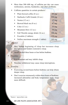- More than 500–600 mg. of caffeine per day can cause restlessness, anxiety, headaches, and other problems.
- Caffeine quantities in certain products<sup>1</sup>:

|    | Plain brewed coffee (8 oz.)         | 95 mg.    |
|----|-------------------------------------|-----------|
| п. | Starbucks Caffè Grande (16 oz.)     | 330 mg.   |
| ٠. | Nestea $(12 oz.)$                   | 17 mg.    |
| ٠  | Brewed black tea (8 oz.)            | 47 mg.    |
| ٠  | $\text{Coke}$ (12 oz.)              | 35 mg.    |
| ٠  | Mountain Dew (12 oz.)               | 54 mg.    |
| ٠. | Full Throttle energy drink (16 oz.) | 144 mg.   |
| ٠  | Excedrin (2 tablets)                | 130 mg.   |
|    | NoDoz maximum strength (1 tablet)   | $200$ mg. |
|    |                                     |           |

#### • Alcohol:

- May hasten beginning of sleep but increases sleep disruption and hinders restorative sleep.
- Avoid alcohol three hours or less before bedtime.

#### Nicotine<sup>.</sup>

- Is a stimulant and may inhibit sleep.
- Nicotine withdrawal may cause sleep interruptions.

#### Exercise:

- Exercising several hours before bedtime can help obtain deeper sleep.
- Don't exercise strenuously within three hours of bedtime; increased adrenaline and body temperature make sleep more difficult.

*1 Source: mayoclinic.com*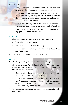- Medications:
	- Many prescribed and over-the-counter medications can adversely affect sleep onset, duration, and quality.
	- Some prescription sleeping pills may facilitate falling asleep and staying asleep; side effects include altering sleep structure, creating drug dependence, and decreasing alertness and performance.
	- Evidence of sleeping pills in the bloodstream can create certification issues in the event of an accident/incident.
	- Consult a physician or your aeromedical examiner with any questions about medications.

# $AT$  HOM $E$

- Maximize sleep and naps one to two days before trip.
- Shift circadian cycle as necessary.
	- Not more than 1–1.5 hours each day.
	- Avoid sleep during average circadian highs (1000–1200 and 2000–2200).
- Keep a regular sleep/wake schedule as able.

# **ON DUTY**

- Don't nap secretly; inform the crew when sleepy.
- Canadian Aviation Regulation (CAR) 720.23 allows "controlled rest on the flight deck" for carriers with applicable Operations Specifications.
	- Canadian pilots have found controlled rest, per the regulation, to be beneficial to combating fatigue.
	- There is no provision for controlled rest in U.S. Federal Aviation Regulations or flight operations manuals; crews should be aware of potential legal ramifications of unauthorized, controlled rest.
- Try to maintain a balanced diet and regular nutrition throughout the day.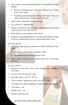- Carry snacks; increasing blood sugar level minimizes mental fatigue.
	- Reactive hypoglycemia can cause fatigue one to three hours after eating.
	- Snacking, and limiting or avoiding high-sugar foods, can reduce potential for reactive hypoglycemia.
- Drink water; dehydration causes fatigue.
- Use caffeine as appropriate.
- Engage in physical activity; take a regular stretch break and move around, even when seated.
- Participate in conversations with others.
- Keep the cockpit temperature low and turn up the lights at night, with due consideration given to maintaining night vision.

# On the Road

- If possible, nap during circadian lows (0300–0500 and 1500– 1800).
	- 40-minute nap increases alertness 100%.
	- 20-minute nap increases alertness 50%.
- Make sleep a priority over sightseeing and recreational activities.

### **AT THE HOTEL**

- Request a room away from noise sources (e.g., elevators, interstate).
- Use the "Do Not Disturb" sign.
- Keep the room cool  $(65^{\circ}-70^{\circ} F)$ .
- Close curtains, darken the room, use an eye mask.
- Use white noise and/or earplugs to reduce audible disruptions.

**DISTURB** 

- Cell phone—off.
- Alarm clock—set.
- Request wake-up call.

#### x Air Line Pilots Association, Int'l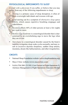# Physiological Impediments to Sleep

*Consult with a physician* if you suffer, or believe that you may suffer, from any of the following impediments to sleep.

- *Snoring* is a primary cause of sleep disruption; it often afflicts overweight individuals and worsens with age.
- Loud snoring can be a symptom of *obstructive sleep apnea* (OSA), which causes repetitive breathing stoppages and wakefulness.
- *Insomnia* affects 44% of older persons at least a few nights per week or more.
- *Restless Legs Syndrome* is a neurological disorder that is characterized by an overwhelming urge to move the legs when they are at rest.
- *Narcolepsy* is a neurological disorder caused by the brain's inability to regulate sleep-wake cycles normally, and may result in excessive daytime sleepiness, sudden sleep attacks, insomnia, dream-like hallucinations, and other irregularities.

# **CREDITS**

- National Sleep Foundation website (www.sleepfoundation.org)
- Mayo Clinic website (www.mayoclinic.com)
- NASA/TM-2001-211385, Crew Factors in Flight Operations X: Alertness Management in Flight Operations Education Module